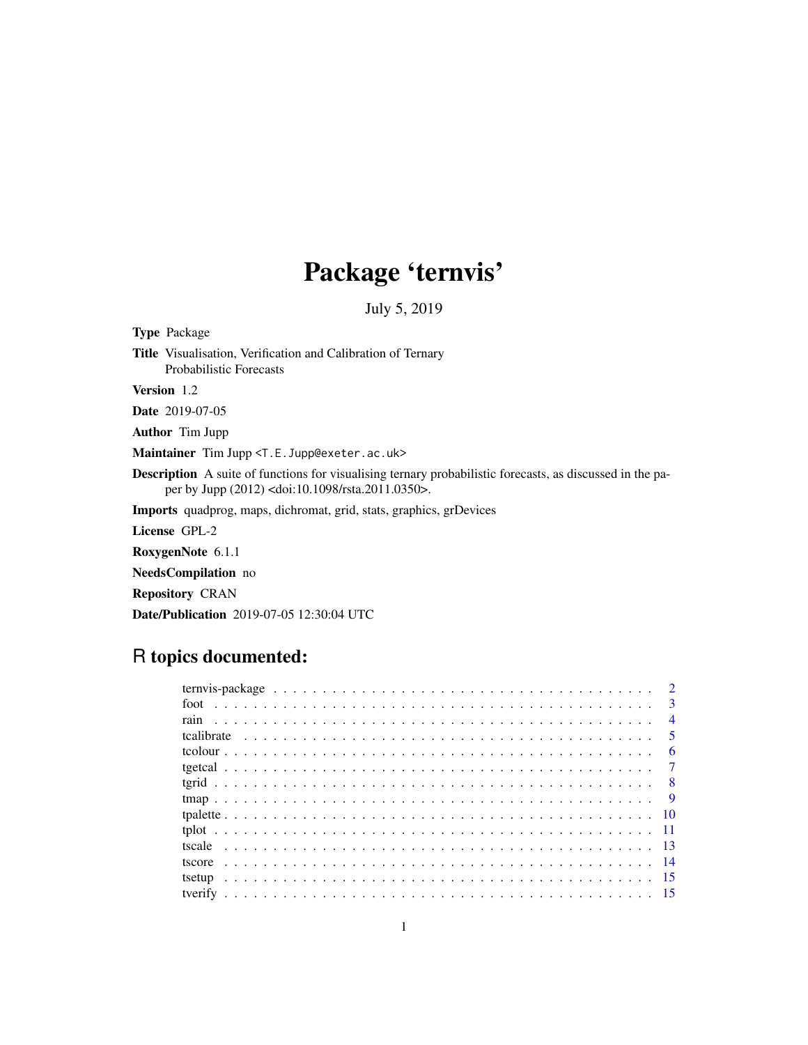## Package 'ternvis'

July 5, 2019

<span id="page-0-0"></span>

| <b>Type Package</b>                                                                                                                                                                   |
|---------------------------------------------------------------------------------------------------------------------------------------------------------------------------------------|
| <b>Title</b> Visualisation, Verification and Calibration of Ternary<br><b>Probabilistic Forecasts</b>                                                                                 |
| <b>Version</b> 1.2                                                                                                                                                                    |
| <b>Date</b> 2019-07-05                                                                                                                                                                |
| <b>Author</b> Tim Jupp                                                                                                                                                                |
| Maintainer Tim Jupp <t.e. jupp@exeter.ac.uk=""></t.e.>                                                                                                                                |
| <b>Description</b> A suite of functions for visualising ternary probabilistic forecasts, as discussed in the pa-<br>per by Jupp (2012) <doi:10.1098 rsta.2011.0350="">.</doi:10.1098> |
| <b>Imports</b> quadprog, maps, dichromat, grid, stats, graphics, grDevices                                                                                                            |
| License GPL-2                                                                                                                                                                         |
| RoxygenNote 6.1.1                                                                                                                                                                     |
| <b>NeedsCompilation</b> no                                                                                                                                                            |
| <b>Repository CRAN</b>                                                                                                                                                                |
| <b>Date/Publication</b> 2019-07-05 12:30:04 UTC                                                                                                                                       |
|                                                                                                                                                                                       |

## R topics documented:

|  |  |  |  |  |  |  |  |  |  |  |  |  |  |  |  |  |  |  |  | $\overline{4}$ |
|--|--|--|--|--|--|--|--|--|--|--|--|--|--|--|--|--|--|--|--|----------------|
|  |  |  |  |  |  |  |  |  |  |  |  |  |  |  |  |  |  |  |  |                |
|  |  |  |  |  |  |  |  |  |  |  |  |  |  |  |  |  |  |  |  | - 6            |
|  |  |  |  |  |  |  |  |  |  |  |  |  |  |  |  |  |  |  |  |                |
|  |  |  |  |  |  |  |  |  |  |  |  |  |  |  |  |  |  |  |  |                |
|  |  |  |  |  |  |  |  |  |  |  |  |  |  |  |  |  |  |  |  |                |
|  |  |  |  |  |  |  |  |  |  |  |  |  |  |  |  |  |  |  |  |                |
|  |  |  |  |  |  |  |  |  |  |  |  |  |  |  |  |  |  |  |  |                |
|  |  |  |  |  |  |  |  |  |  |  |  |  |  |  |  |  |  |  |  |                |
|  |  |  |  |  |  |  |  |  |  |  |  |  |  |  |  |  |  |  |  |                |
|  |  |  |  |  |  |  |  |  |  |  |  |  |  |  |  |  |  |  |  |                |
|  |  |  |  |  |  |  |  |  |  |  |  |  |  |  |  |  |  |  |  |                |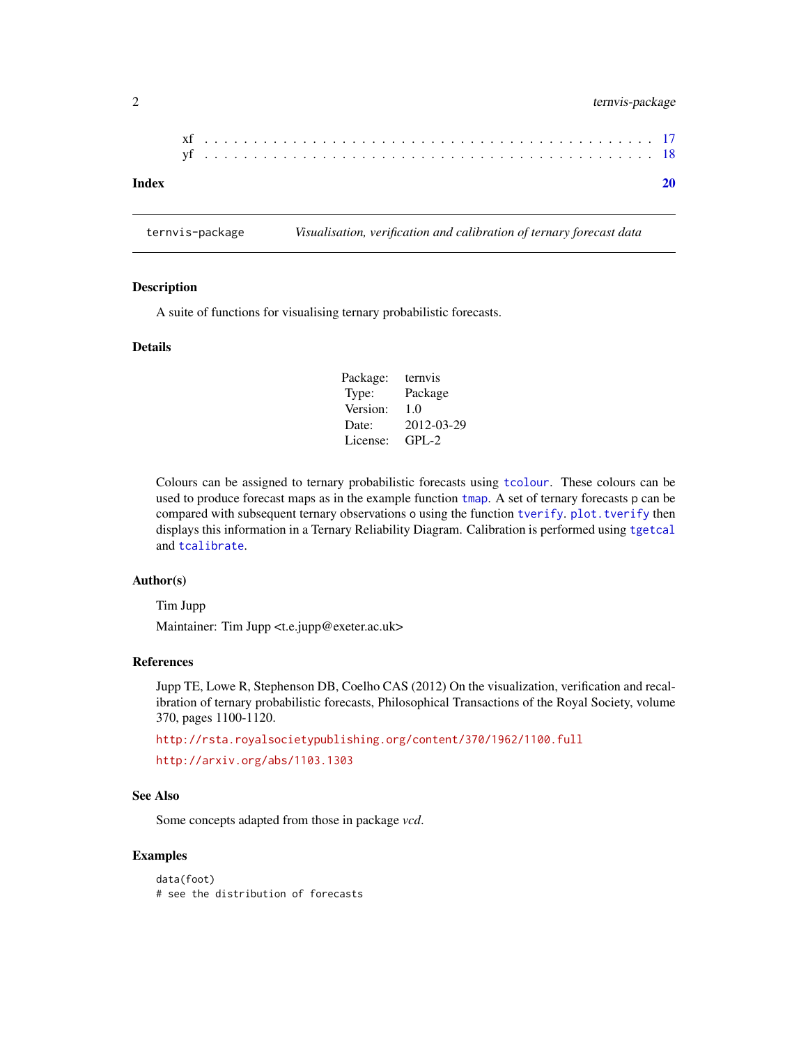## <span id="page-1-0"></span>2 ternvis-package

ternvis-package *Visualisation, verification and calibration of ternary forecast data*

#### Description

A suite of functions for visualising ternary probabilistic forecasts.

## Details

| Package: | ternyis    |
|----------|------------|
| Type:    | Package    |
| Version: | 1.0        |
| Date:    | 2012-03-29 |
| License: | $GPL-2$    |

Colours can be assigned to ternary probabilistic forecasts using [tcolour](#page-5-1). These colours can be used to produce forecast maps as in the example function [tmap](#page-8-1). A set of ternary forecasts p can be compared with subsequent ternary observations o using the function [tverify](#page-14-1). [plot.tverify](#page-14-2) then displays this information in a Ternary Reliability Diagram. Calibration is performed using [tgetcal](#page-6-1) and [tcalibrate](#page-4-1).

## Author(s)

Tim Jupp

Maintainer: Tim Jupp <t.e.jupp@exeter.ac.uk>

#### References

Jupp TE, Lowe R, Stephenson DB, Coelho CAS (2012) On the visualization, verification and recalibration of ternary probabilistic forecasts, Philosophical Transactions of the Royal Society, volume 370, pages 1100-1120.

<http://rsta.royalsocietypublishing.org/content/370/1962/1100.full>

<http://arxiv.org/abs/1103.1303>

#### See Also

Some concepts adapted from those in package *vcd*.

#### Examples

data(foot) # see the distribution of forecasts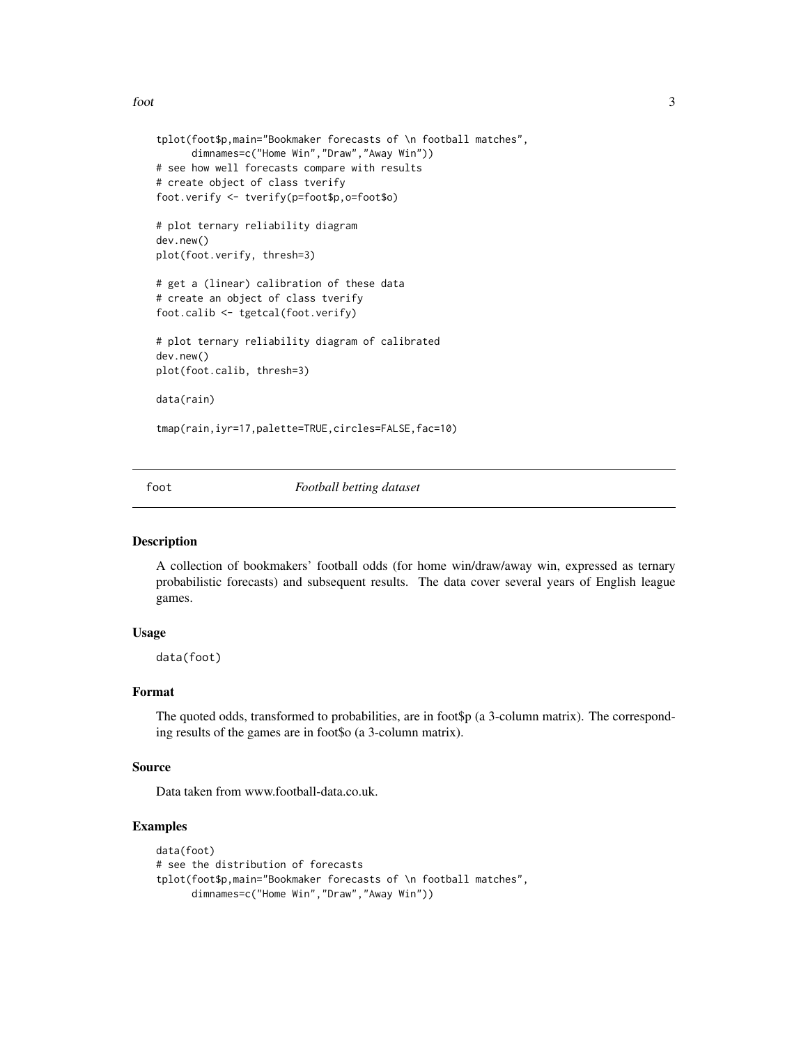<span id="page-2-0"></span>foot 3

```
tplot(foot$p,main="Bookmaker forecasts of \n football matches",
      dimnames=c("Home Win","Draw","Away Win"))
# see how well forecasts compare with results
# create object of class tverify
foot.verify <- tverify(p=foot$p,o=foot$o)
# plot ternary reliability diagram
dev.new()
plot(foot.verify, thresh=3)
# get a (linear) calibration of these data
# create an object of class tverify
foot.calib <- tgetcal(foot.verify)
# plot ternary reliability diagram of calibrated
dev.new()
plot(foot.calib, thresh=3)
data(rain)
tmap(rain,iyr=17,palette=TRUE,circles=FALSE,fac=10)
```
foot *Football betting dataset*

#### Description

A collection of bookmakers' football odds (for home win/draw/away win, expressed as ternary probabilistic forecasts) and subsequent results. The data cover several years of English league games.

#### Usage

data(foot)

#### Format

The quoted odds, transformed to probabilities, are in foot\$p (a 3-column matrix). The corresponding results of the games are in foot\$o (a 3-column matrix).

#### Source

Data taken from www.football-data.co.uk.

## Examples

```
data(foot)
# see the distribution of forecasts
tplot(foot$p,main="Bookmaker forecasts of \n football matches",
     dimnames=c("Home Win","Draw","Away Win"))
```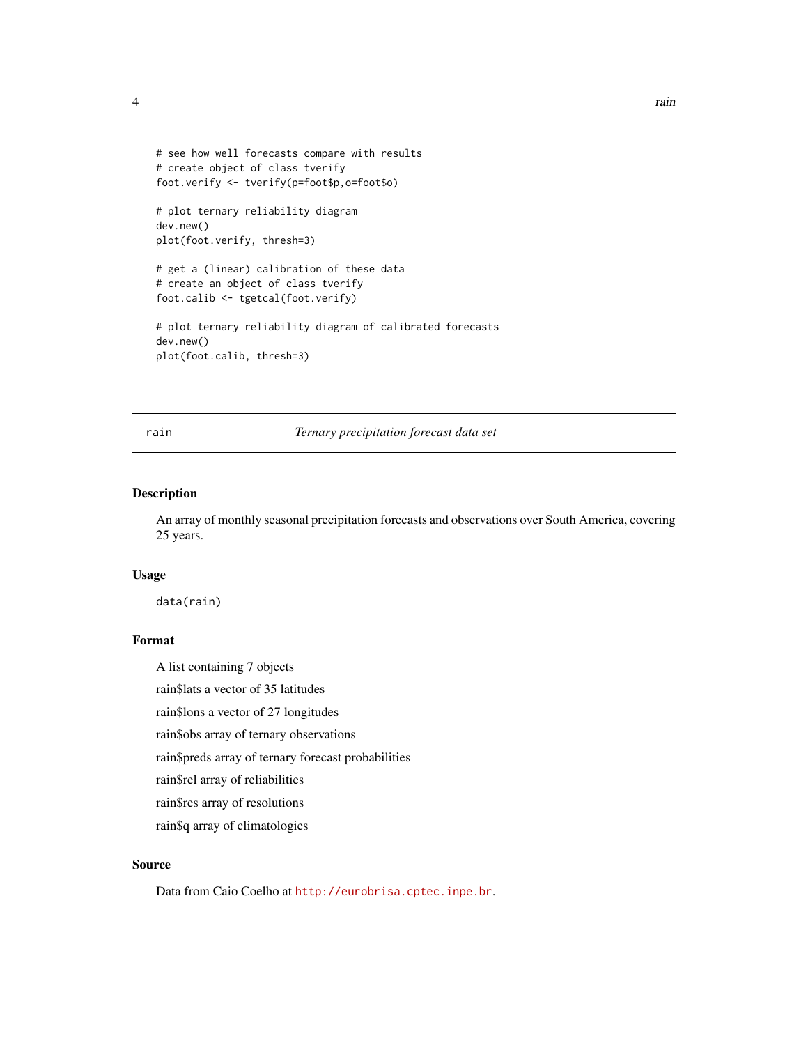```
# see how well forecasts compare with results
# create object of class tverify
foot.verify <- tverify(p=foot$p,o=foot$o)
# plot ternary reliability diagram
dev.new()
plot(foot.verify, thresh=3)
# get a (linear) calibration of these data
```
# create an object of class tverify foot.calib <- tgetcal(foot.verify)

# plot ternary reliability diagram of calibrated forecasts dev.new() plot(foot.calib, thresh=3)

rain *Ternary precipitation forecast data set*

## Description

An array of monthly seasonal precipitation forecasts and observations over South America, covering 25 years.

#### Usage

data(rain)

## Format

A list containing 7 objects

rain\$lats a vector of 35 latitudes

rain\$lons a vector of 27 longitudes

rain\$obs array of ternary observations

rain\$preds array of ternary forecast probabilities

rain\$rel array of reliabilities

rain\$res array of resolutions

rain\$q array of climatologies

## Source

Data from Caio Coelho at <http://eurobrisa.cptec.inpe.br>.

```
4 a a a a a a a a a a a a a a a a a a a
```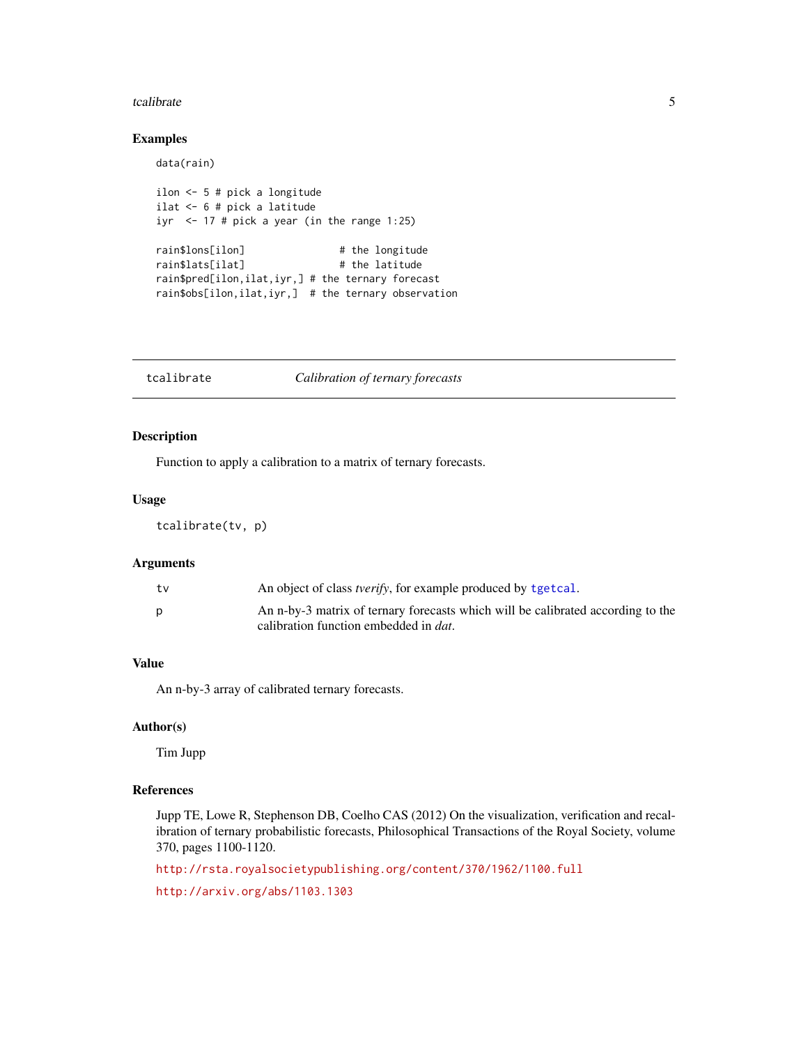#### <span id="page-4-0"></span>tcalibrate 5 and 5 and 5 and 5 and 5 and 5 and 5 and 5 and 5 and 5 and 5 and 5 and 5 and 5 and 5 and 5 and 5 and 5 and 5 and 5 and 5 and 5 and 5 and 5 and 5 and 5 and 5 and 5 and 5 and 5 and 5 and 5 and 5 and 5 and 5 and 5

## Examples

data(rain)

```
ilon <- 5 # pick a longitude
ilat <- 6 # pick a latitude
iyr \le 17 # pick a year (in the range 1:25)
rain$lons[ilon] # the longitude
rain$lats[ilat] # the latitude
rain$pred[ilon,ilat,iyr,] # the ternary forecast
rain$obs[ilon,ilat,iyr,] # the ternary observation
```
<span id="page-4-1"></span>tcalibrate *Calibration of ternary forecasts*

## Description

Function to apply a calibration to a matrix of ternary forecasts.

## Usage

tcalibrate(tv, p)

#### Arguments

| An n-by-3 matrix of ternary forecasts which will be calibrated according to the<br>calibration function embedded in <i>dat</i> . |  |
|----------------------------------------------------------------------------------------------------------------------------------|--|

## Value

An n-by-3 array of calibrated ternary forecasts.

#### Author(s)

Tim Jupp

## References

Jupp TE, Lowe R, Stephenson DB, Coelho CAS (2012) On the visualization, verification and recalibration of ternary probabilistic forecasts, Philosophical Transactions of the Royal Society, volume 370, pages 1100-1120.

<http://rsta.royalsocietypublishing.org/content/370/1962/1100.full>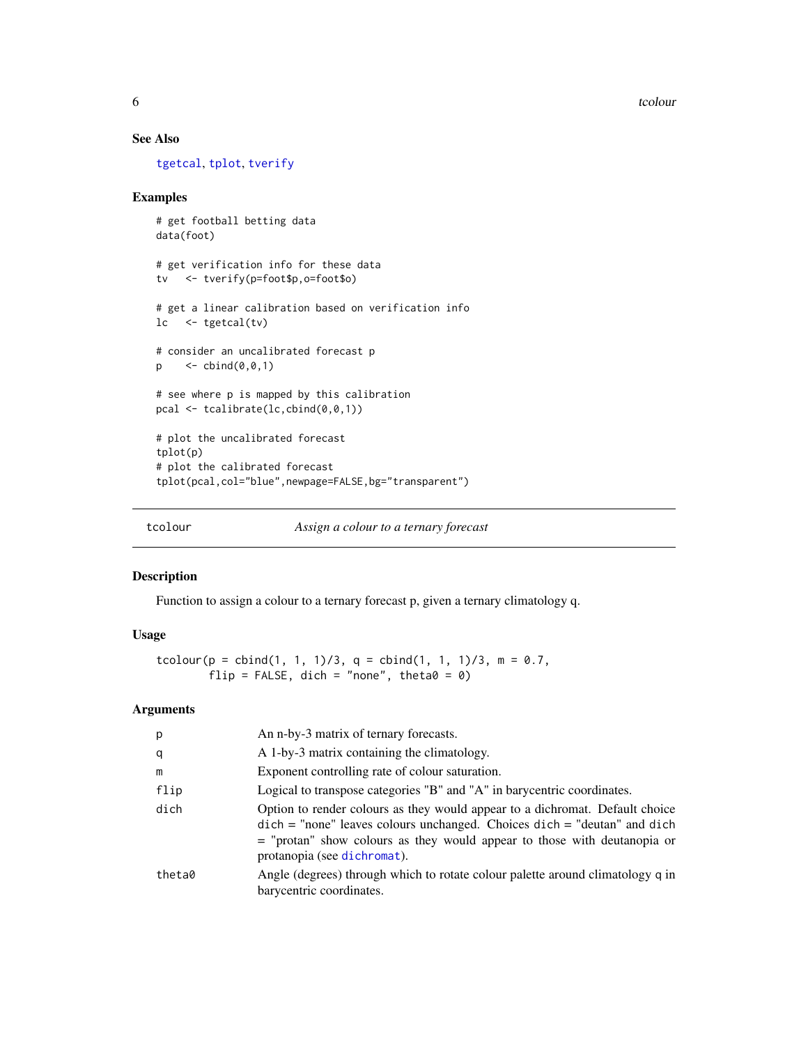<span id="page-5-0"></span>6 tcolour contracts to the contract of the contracts of the contracts of the contracts of the contracts of the contracts of the contracts of the contracts of the contracts of the contracts of the contracts of the contracts

#### See Also

[tgetcal](#page-6-1), [tplot](#page-10-1), [tverify](#page-14-1)

#### Examples

```
# get football betting data
data(foot)
# get verification info for these data
tv <- tverify(p=foot$p,o=foot$o)
# get a linear calibration based on verification info
lc <- tgetcal(tv)
# consider an uncalibrated forecast p
p \le - cbind(0, 0, 1)
# see where p is mapped by this calibration
pcal <- tcalibrate(lc,cbind(0,0,1))
# plot the uncalibrated forecast
tplot(p)
# plot the calibrated forecast
tplot(pcal,col="blue",newpage=FALSE,bg="transparent")
```
<span id="page-5-1"></span>

tcolour *Assign a colour to a ternary forecast*

#### Description

Function to assign a colour to a ternary forecast p, given a ternary climatology q.

#### Usage

```
tcolour(p = \text{cbind}(1, 1, 1)/3, q = \text{cbind}(1, 1, 1)/3, m = 0.7,
         flip = FALSE, dich = "none", theta0 = 0)
```

| p      | An n-by-3 matrix of ternary forecasts.                                                                                                                                                                                                                                      |
|--------|-----------------------------------------------------------------------------------------------------------------------------------------------------------------------------------------------------------------------------------------------------------------------------|
| q      | A 1-by-3 matrix containing the climatology.                                                                                                                                                                                                                                 |
| m      | Exponent controlling rate of colour saturation.                                                                                                                                                                                                                             |
| flip   | Logical to transpose categories "B" and "A" in barycentric coordinates.                                                                                                                                                                                                     |
| dich   | Option to render colours as they would appear to a dichromat. Default choice<br>$dich$ = "none" leaves colours unchanged. Choices $dich$ = "deutan" and $dich$<br>$=$ "protan" show colours as they would appear to those with deutanopia or<br>protanopia (see dichromat). |
| theta0 | Angle (degrees) through which to rotate colour palette around climatology q in<br>barycentric coordinates.                                                                                                                                                                  |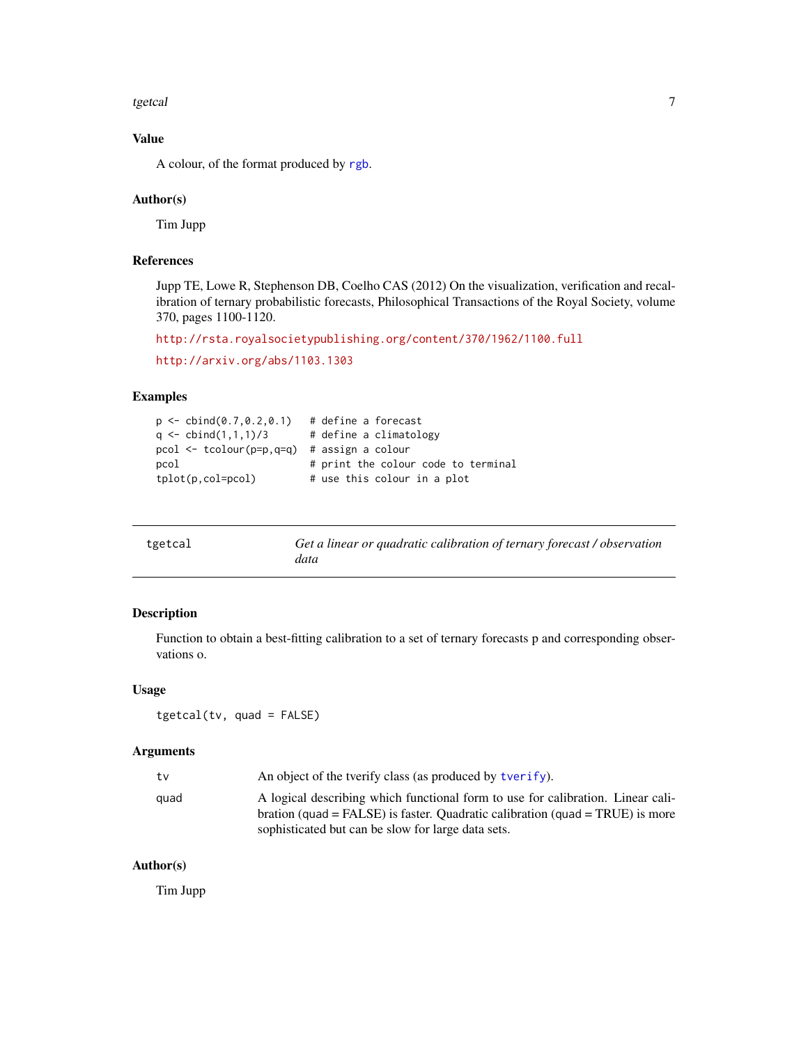#### <span id="page-6-0"></span>tgetcal and the contract of the contract of the contract of the contract of the contract of the contract of the contract of the contract of the contract of the contract of the contract of the contract of the contract of th

## Value

A colour, of the format produced by [rgb](#page-0-0).

#### Author(s)

Tim Jupp

## References

Jupp TE, Lowe R, Stephenson DB, Coelho CAS (2012) On the visualization, verification and recalibration of ternary probabilistic forecasts, Philosophical Transactions of the Royal Society, volume 370, pages 1100-1120.

```
http://rsta.royalsocietypublishing.org/content/370/1962/1100.full
```

```
http://arxiv.org/abs/1103.1303
```
#### Examples

```
p \leftarrow \text{cbind}(0.7, 0.2, 0.1) # define a forecast
q \leftarrow \text{cbind}(1,1,1)/3 # define a climatology
pcol <- tcolour(p=p,q=q) # assign a colour
pcol # print the colour code to terminal
tplot(p, col=pcol) # use this colour in a plot
```
<span id="page-6-1"></span>

| tgetcal | Get a linear or quadratic calibration of ternary forecast / observation |
|---------|-------------------------------------------------------------------------|
|         | data                                                                    |

## Description

Function to obtain a best-fitting calibration to a set of ternary forecasts p and corresponding observations o.

#### Usage

```
tgetcal(tv, quad = FALSE)
```
#### Arguments

| tv   | An object of the tverify class (as produced by tverify).                        |
|------|---------------------------------------------------------------------------------|
| quad | A logical describing which functional form to use for calibration. Linear cali- |
|      | bration (quad = FALSE) is faster. Quadratic calibration (quad = TRUE) is more   |
|      | sophisticated but can be slow for large data sets.                              |

## Author(s)

Tim Jupp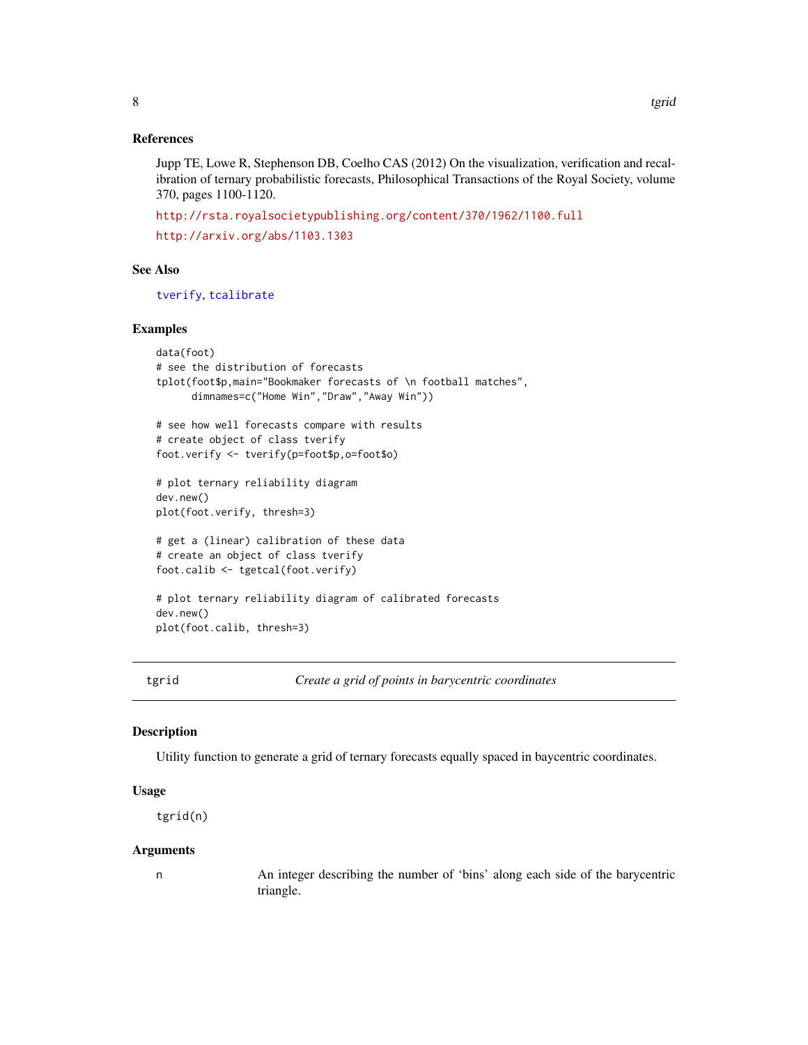#### References

Jupp TE, Lowe R, Stephenson DB, Coelho CAS (2012) On the visualization, verification and recalibration of ternary probabilistic forecasts, Philosophical Transactions of the Royal Society, volume 370, pages 1100-1120.

<http://rsta.royalsocietypublishing.org/content/370/1962/1100.full> <http://arxiv.org/abs/1103.1303>

## See Also

[tverify](#page-14-1), [tcalibrate](#page-4-1)

#### Examples

```
data(foot)
# see the distribution of forecasts
tplot(foot$p,main="Bookmaker forecasts of \n football matches",
      dimnames=c("Home Win","Draw","Away Win"))
# see how well forecasts compare with results
# create object of class tverify
foot.verify <- tverify(p=foot$p,o=foot$o)
# plot ternary reliability diagram
dev.new()
plot(foot.verify, thresh=3)
# get a (linear) calibration of these data
# create an object of class tverify
foot.calib <- tgetcal(foot.verify)
# plot ternary reliability diagram of calibrated forecasts
dev.new()
plot(foot.calib, thresh=3)
```
tgrid *Create a grid of points in barycentric coordinates*

## Description

Utility function to generate a grid of ternary forecasts equally spaced in baycentric coordinates.

## Usage

tgrid(n)

#### Arguments

n An integer describing the number of 'bins' along each side of the barycentric triangle.

<span id="page-7-0"></span>8 tgrid states and the second states of the second states and the second states of the second states of the second states of the second states of the second states of the second states of the second states of the second st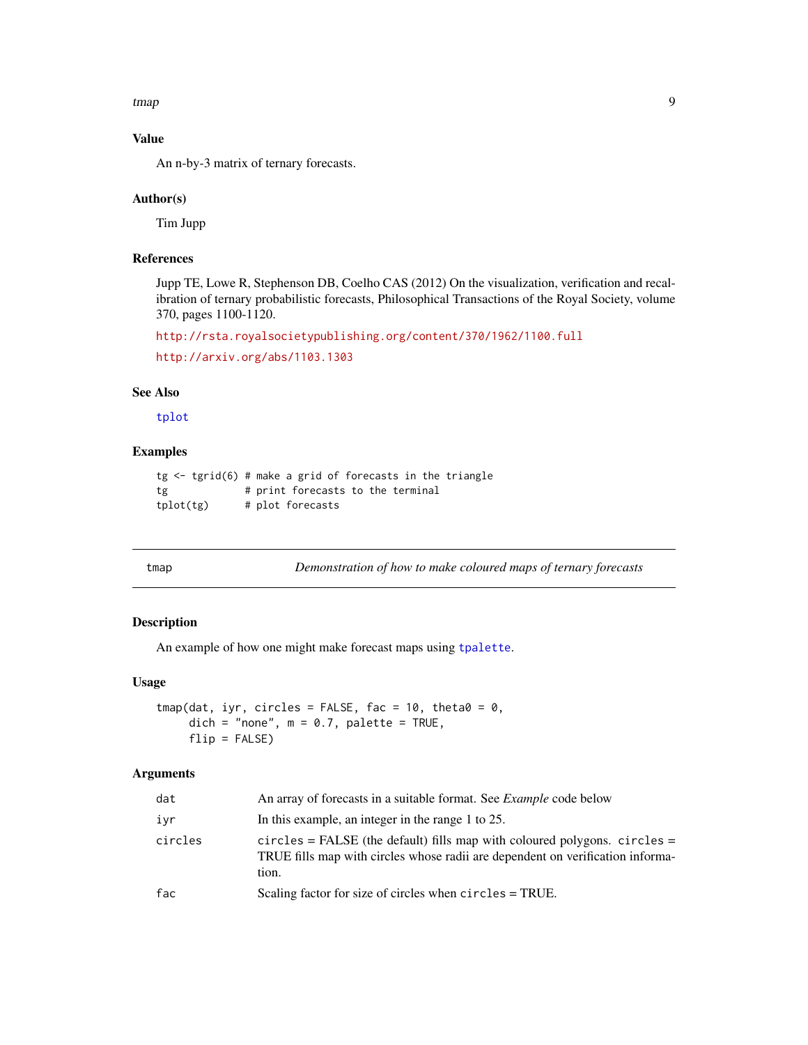<span id="page-8-0"></span>tmap 9

## Value

An n-by-3 matrix of ternary forecasts.

#### Author(s)

Tim Jupp

## References

Jupp TE, Lowe R, Stephenson DB, Coelho CAS (2012) On the visualization, verification and recalibration of ternary probabilistic forecasts, Philosophical Transactions of the Royal Society, volume 370, pages 1100-1120.

```
http://rsta.royalsocietypublishing.org/content/370/1962/1100.full
```

```
http://arxiv.org/abs/1103.1303
```
#### See Also

[tplot](#page-10-1)

#### Examples

```
tg < - \text{tgrid}(6) # make a grid of forecasts in the triangle
tg # print forecasts to the terminal
tplot(tg) # plot forecasts
```
<span id="page-8-1"></span>

| × |  |  |
|---|--|--|

p *Demonstration of how to make coloured maps of ternary forecasts* 

## Description

An example of how one might make forecast maps using [tpalette](#page-9-1).

## Usage

```
tmap(data, iyr, circles = FALSE, fac = 10, theta0 = 0,dich = "none", m = 0.7, palette = TRUE,
     flip = FALSE)
```

| dat     | An array of forecasts in a suitable format. See <i>Example</i> code below                                                                                                |
|---------|--------------------------------------------------------------------------------------------------------------------------------------------------------------------------|
| ivr     | In this example, an integer in the range 1 to 25.                                                                                                                        |
| circles | $circles = FALSE$ (the default) fills map with coloured polygons. $circles =$<br>TRUE fills map with circles whose radii are dependent on verification informa-<br>tion. |
| fac     | Scaling factor for size of circles when circles = TRUE.                                                                                                                  |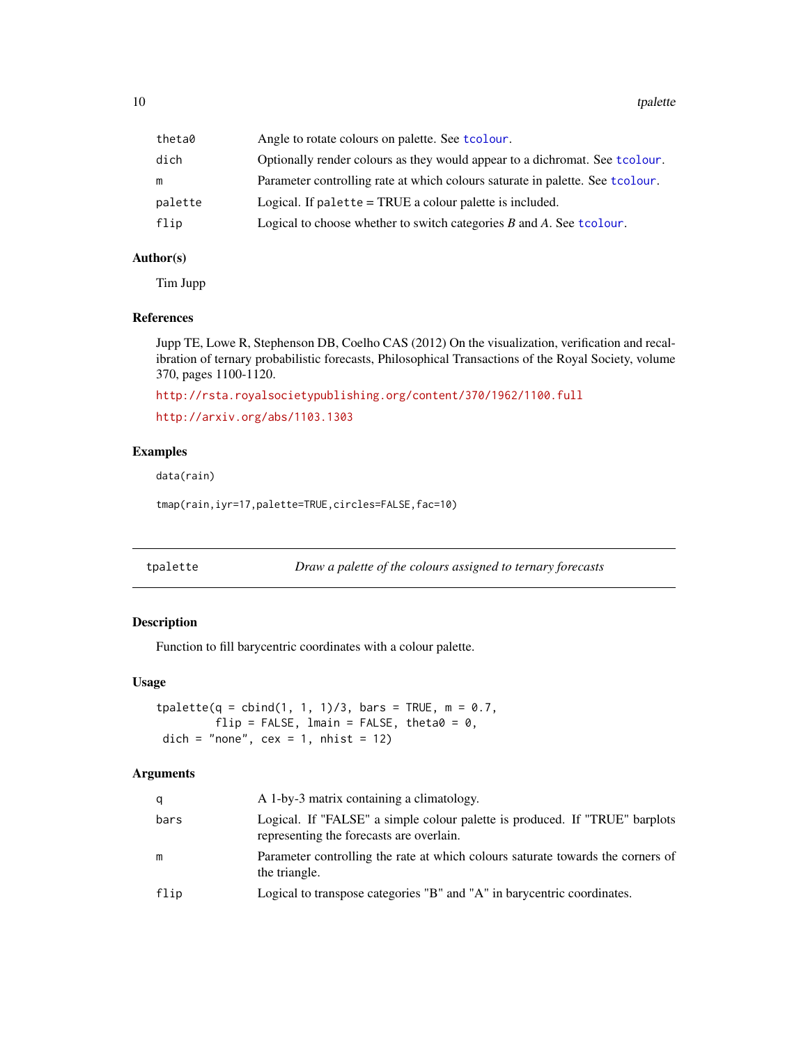<span id="page-9-0"></span>10 tpalette the control of the control of the control of the control of the control of the control of the control of the control of the control of the control of the control of the control of the control of the control of

| theta0  | Angle to rotate colours on palette. See tcolour.                               |
|---------|--------------------------------------------------------------------------------|
| dich    | Optionally render colours as they would appear to a dichromat. See t colour.   |
| m       | Parameter controlling rate at which colours saturate in palette. See t colour. |
| palette | Logical. If palette = TRUE a colour palette is included.                       |
| flip    | Logical to choose whether to switch categories $B$ and $A$ . See tcolour.      |

#### Author(s)

Tim Jupp

#### References

Jupp TE, Lowe R, Stephenson DB, Coelho CAS (2012) On the visualization, verification and recalibration of ternary probabilistic forecasts, Philosophical Transactions of the Royal Society, volume 370, pages 1100-1120.

```
http://rsta.royalsocietypublishing.org/content/370/1962/1100.full
http://arxiv.org/abs/1103.1303
```
#### Examples

data(rain)

tmap(rain,iyr=17,palette=TRUE,circles=FALSE,fac=10)

<span id="page-9-1"></span>tpalette *Draw a palette of the colours assigned to ternary forecasts*

## Description

Function to fill barycentric coordinates with a colour palette.

## Usage

```
tpalette(q = cbind(1, 1, 1)/3, bars = TRUE, m = 0.7,flip = FALSE, lmain = FALSE, theta0 = 0,
dich = "none", cex = 1, nhist = 12)
```

| q    | A 1-by-3 matrix containing a climatology.                                                                               |
|------|-------------------------------------------------------------------------------------------------------------------------|
| bars | Logical. If "FALSE" a simple colour palette is produced. If "TRUE" barplots<br>representing the forecasts are overlain. |
| m    | Parameter controlling the rate at which colours saturate towards the corners of<br>the triangle.                        |
| flip | Logical to transpose categories "B" and "A" in barycentric coordinates.                                                 |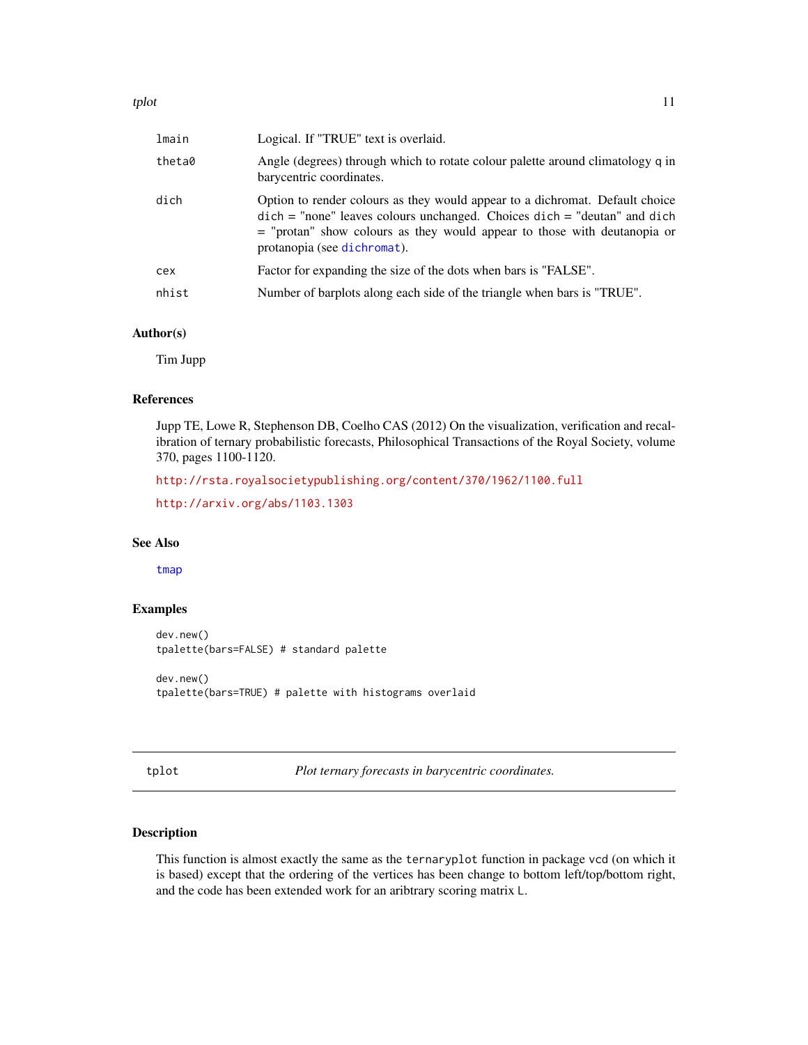<span id="page-10-0"></span>

| lmain  | Logical. If "TRUE" text is overlaid.                                                                                                                                                                                                                                                                           |
|--------|----------------------------------------------------------------------------------------------------------------------------------------------------------------------------------------------------------------------------------------------------------------------------------------------------------------|
| theta0 | Angle (degrees) through which to rotate colour palette around climatology q in<br>barycentric coordinates.                                                                                                                                                                                                     |
| dich   | Option to render colours as they would appear to a dichromat. Default choice<br>$\text{dich} = \text{"none"}$ leaves colours unchanged. Choices $\text{dich} = \text{"deutan"}$ and $\text{dich}$<br>$=$ "protan" show colours as they would appear to those with deutanopia or<br>protanopia (see dichromat). |
| cex    | Factor for expanding the size of the dots when bars is "FALSE".                                                                                                                                                                                                                                                |
| nhist  | Number of barplots along each side of the triangle when bars is "TRUE".                                                                                                                                                                                                                                        |
|        |                                                                                                                                                                                                                                                                                                                |

## Author(s)

Tim Jupp

## References

Jupp TE, Lowe R, Stephenson DB, Coelho CAS (2012) On the visualization, verification and recalibration of ternary probabilistic forecasts, Philosophical Transactions of the Royal Society, volume 370, pages 1100-1120.

<http://rsta.royalsocietypublishing.org/content/370/1962/1100.full>

```
http://arxiv.org/abs/1103.1303
```
#### See Also

[tmap](#page-8-1)

## Examples

dev.new() tpalette(bars=FALSE) # standard palette

dev.new() tpalette(bars=TRUE) # palette with histograms overlaid

<span id="page-10-1"></span>tplot *Plot ternary forecasts in barycentric coordinates.*

#### Description

This function is almost exactly the same as the ternaryplot function in package vcd (on which it is based) except that the ordering of the vertices has been change to bottom left/top/bottom right, and the code has been extended work for an aribtrary scoring matrix L.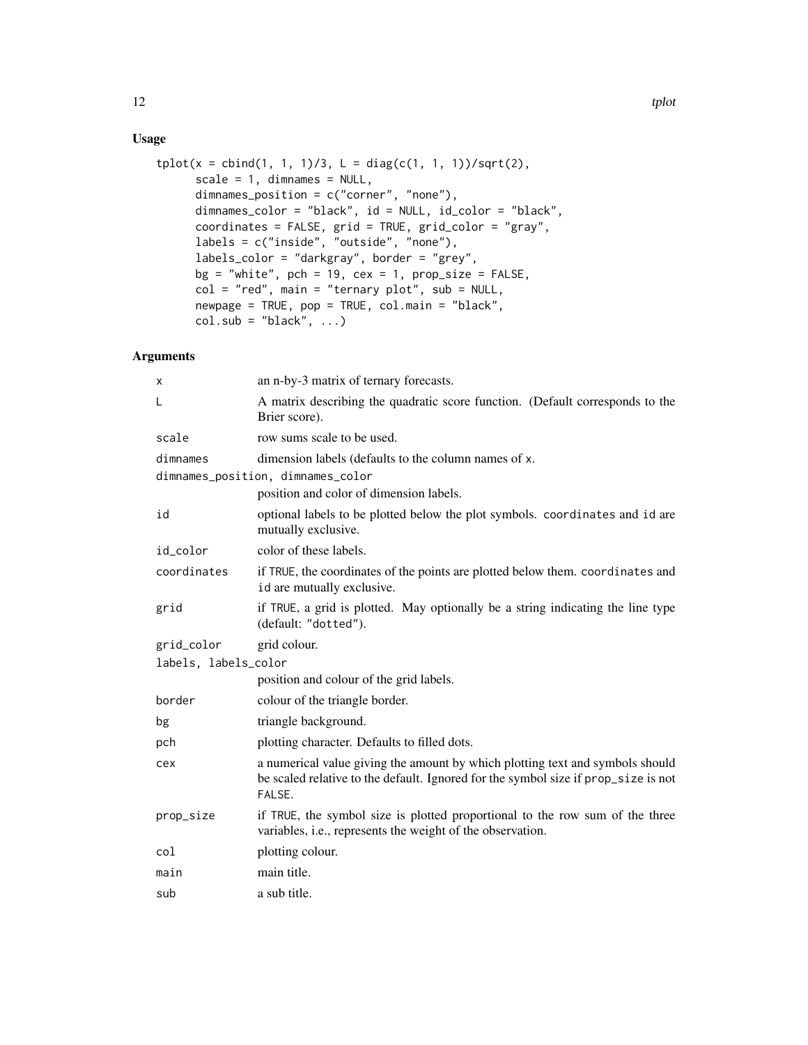## Usage

```
tplot(x = child(1, 1, 1)/3, L = diag(c(1, 1, 1))/sqrt(2),scale = 1, dimnames = NULL,
     dimnames_position = c("corner", "none"),
     dimnames_color = "black", id = NULL, id_color = "black",
      coordinates = FALSE, grid = TRUE, grid_color = "gray",
     labels = c("inside", "outside", "none"),
     labels_color = "darkgray", border = "grey",
     bg = "white", pch = 19, cex = 1, prop\_size = FALSE,
     col = "red", main = "ternary plot", sub = NULL,
     newpage = TRUE, pop = TRUE, col.main = "black",
     col.sub = "black", ...)
```

| x                    | an n-by-3 matrix of ternary forecasts.                                                                                                                                        |
|----------------------|-------------------------------------------------------------------------------------------------------------------------------------------------------------------------------|
| L                    | A matrix describing the quadratic score function. (Default corresponds to the<br>Brier score).                                                                                |
| scale                | row sums scale to be used.                                                                                                                                                    |
| dimnames             | dimension labels (defaults to the column names of x.                                                                                                                          |
|                      | dimnames_position, dimnames_color                                                                                                                                             |
|                      | position and color of dimension labels.                                                                                                                                       |
| id                   | optional labels to be plotted below the plot symbols. coordinates and id are<br>mutually exclusive.                                                                           |
| id_color             | color of these labels.                                                                                                                                                        |
| coordinates          | if TRUE, the coordinates of the points are plotted below them. coordinates and<br>id are mutually exclusive.                                                                  |
| grid                 | if TRUE, a grid is plotted. May optionally be a string indicating the line type<br>(default: "dotted").                                                                       |
| grid_color           | grid colour.                                                                                                                                                                  |
| labels, labels_color |                                                                                                                                                                               |
|                      | position and colour of the grid labels.                                                                                                                                       |
| border               | colour of the triangle border.                                                                                                                                                |
| bg                   | triangle background.                                                                                                                                                          |
| pch                  | plotting character. Defaults to filled dots.                                                                                                                                  |
| cex                  | a numerical value giving the amount by which plotting text and symbols should<br>be scaled relative to the default. Ignored for the symbol size if prop_size is not<br>FALSE. |
| prop_size            | if TRUE, the symbol size is plotted proportional to the row sum of the three<br>variables, i.e., represents the weight of the observation.                                    |
| col                  | plotting colour.                                                                                                                                                              |
| main                 | main title.                                                                                                                                                                   |
| sub                  | a sub title.                                                                                                                                                                  |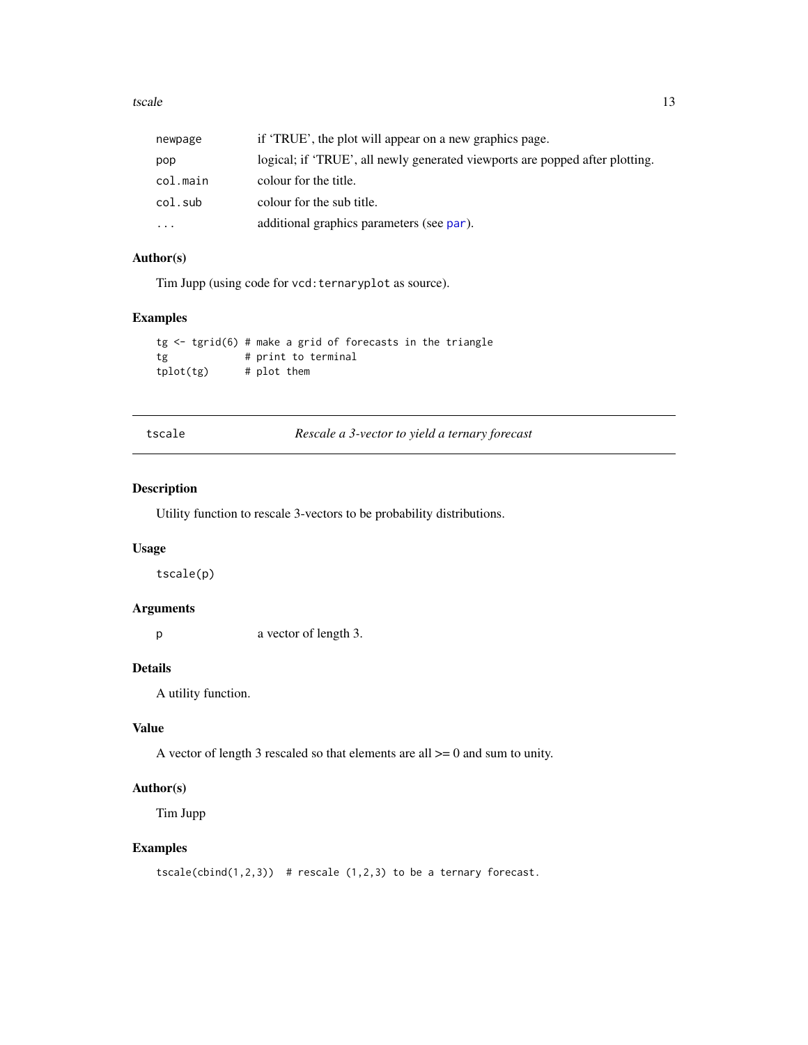#### <span id="page-12-0"></span>tscale the contract of the contract of the contract of the contract of the contract of the contract of the contract of the contract of the contract of the contract of the contract of the contract of the contract of the con

| newpage  | if 'TRUE', the plot will appear on a new graphics page.                      |
|----------|------------------------------------------------------------------------------|
| pop      | logical; if 'TRUE', all newly generated viewports are popped after plotting. |
| col.main | colour for the title.                                                        |
| col.sub  | colour for the sub title.                                                    |
| $\cdots$ | additional graphics parameters (see par).                                    |

## Author(s)

Tim Jupp (using code for vcd:ternaryplot as source).

## Examples

```
tg <- tgrid(6) # make a grid of forecasts in the triangle
tg # print to terminal
tplot(tg) # plot them
```
tscale *Rescale a 3-vector to yield a ternary forecast*

## Description

Utility function to rescale 3-vectors to be probability distributions.

#### Usage

tscale(p)

## Arguments

p a vector of length 3.

## Details

A utility function.

## Value

A vector of length 3 rescaled so that elements are all  $\ge$  = 0 and sum to unity.

## Author(s)

Tim Jupp

## Examples

```
tscale<mark>(\text{bind}(1,2,3)) # rescale (1,2,3) to be a ternary forecast.</mark>
```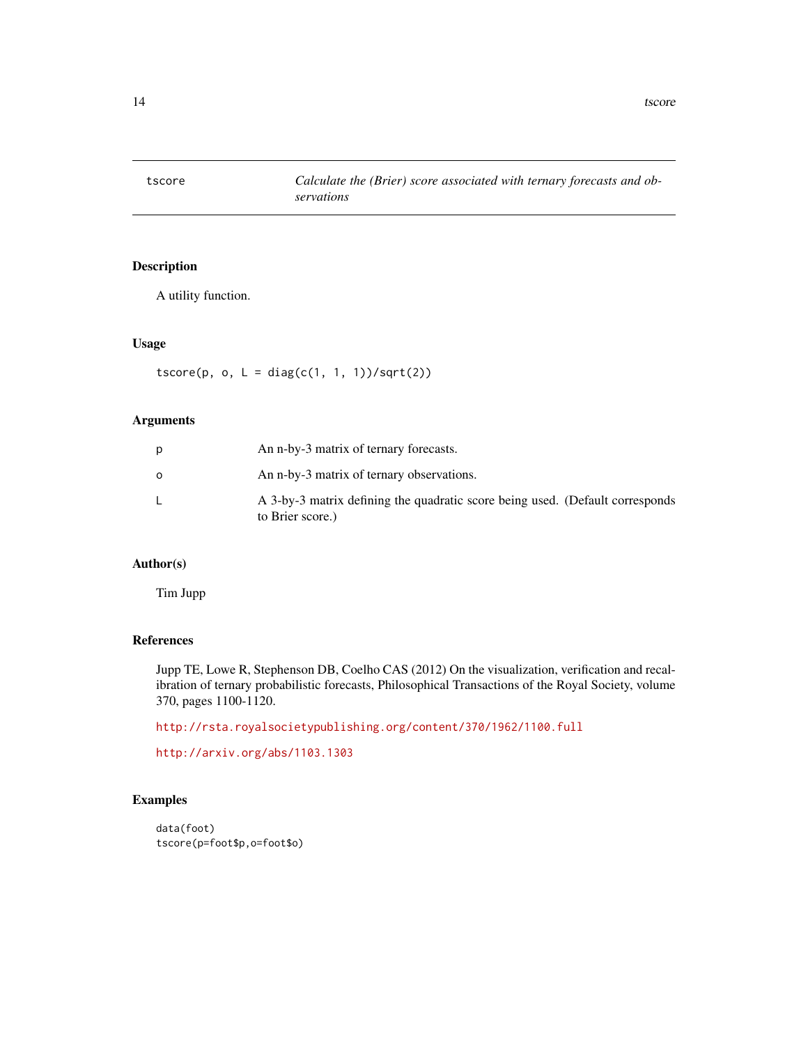<span id="page-13-0"></span>

## Description

A utility function.

## Usage

 $tscore(p, o, L = diag(c(1, 1, 1)) / sqrt(2))$ 

## Arguments

| D       | An n-by-3 matrix of ternary forecasts.                                                            |
|---------|---------------------------------------------------------------------------------------------------|
| $\circ$ | An n-by-3 matrix of ternary observations.                                                         |
|         | A 3-by-3 matrix defining the quadratic score being used. (Default corresponds<br>to Brier score.) |

## Author(s)

Tim Jupp

#### References

Jupp TE, Lowe R, Stephenson DB, Coelho CAS (2012) On the visualization, verification and recalibration of ternary probabilistic forecasts, Philosophical Transactions of the Royal Society, volume 370, pages 1100-1120.

<http://rsta.royalsocietypublishing.org/content/370/1962/1100.full>

```
http://arxiv.org/abs/1103.1303
```
#### Examples

```
data(foot)
tscore(p=foot$p,o=foot$o)
```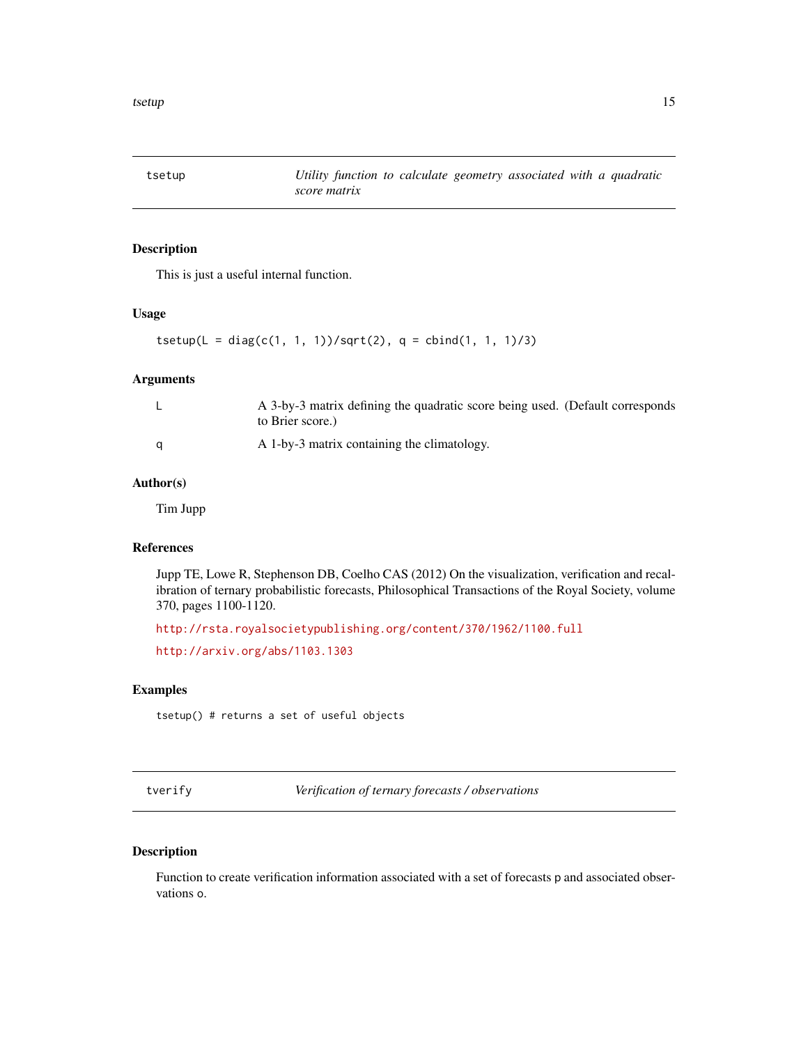<span id="page-14-3"></span><span id="page-14-0"></span>tsetup *Utility function to calculate geometry associated with a quadratic score matrix*

## Description

This is just a useful internal function.

#### Usage

```
tsetup(L = diag(c(1, 1, 1)) / sqrt(2), q = child(1, 1, 1) / 3)
```
## Arguments

|   | A 3-by-3 matrix defining the quadratic score being used. (Default corresponds<br>to Brier score.) |
|---|---------------------------------------------------------------------------------------------------|
| a | A 1-by-3 matrix containing the climatology.                                                       |

## Author(s)

Tim Jupp

## References

Jupp TE, Lowe R, Stephenson DB, Coelho CAS (2012) On the visualization, verification and recalibration of ternary probabilistic forecasts, Philosophical Transactions of the Royal Society, volume 370, pages 1100-1120.

<http://rsta.royalsocietypublishing.org/content/370/1962/1100.full>

<http://arxiv.org/abs/1103.1303>

## Examples

tsetup() # returns a set of useful objects

<span id="page-14-1"></span>tverify *Verification of ternary forecasts / observations*

## <span id="page-14-2"></span>Description

Function to create verification information associated with a set of forecasts p and associated observations o.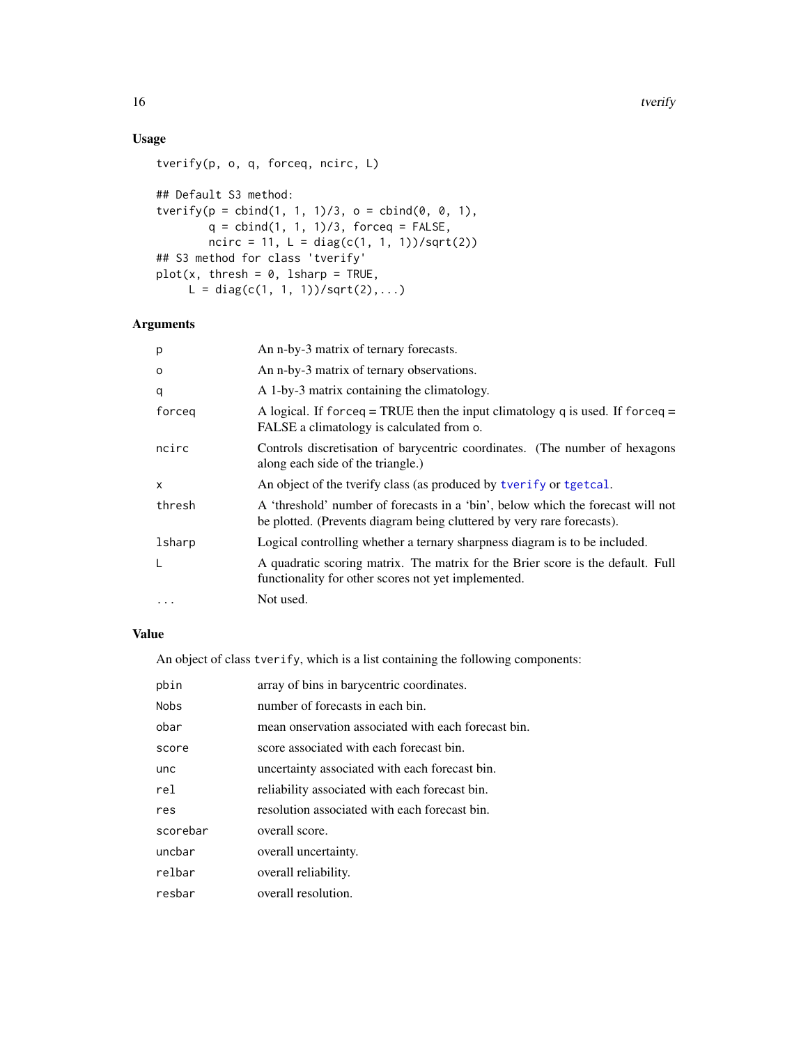## <span id="page-15-0"></span>Usage

```
tverify(p, o, q, forceq, ncirc, L)
## Default S3 method:
tverify(p = \text{cbind}(1, 1, 1)/3, o = \text{cbind}(0, 0, 1),
        q = \text{cbind}(1, 1, 1)/3, forceq = FALSE,
        ncirc = 11, L = diag(c(1, 1, 1)) / sqrt(2))## S3 method for class 'tverify'
plot(x, thresh = 0, Isharp = TRUE,L = diag(c(1, 1, 1)) / sqrt(2), ...)
```
#### Arguments

| p        | An n-by-3 matrix of ternary forecasts.                                                                                                                    |
|----------|-----------------------------------------------------------------------------------------------------------------------------------------------------------|
| $\Omega$ | An n-by-3 matrix of ternary observations.                                                                                                                 |
| q        | A 1-by-3 matrix containing the climatology.                                                                                                               |
| forceg   | A logical. If forceq = TRUE then the input climatology q is used. If forceq =<br>FALSE a climatology is calculated from o.                                |
| ncirc    | Controls discretisation of barycentric coordinates. (The number of hexagons<br>along each side of the triangle.)                                          |
| x        | An object of the tverify class (as produced by tverify or tgetcal.                                                                                        |
| thresh   | A 'threshold' number of forecasts in a 'bin', below which the forecast will not<br>be plotted. (Prevents diagram being cluttered by very rare forecasts). |
| lsharp   | Logical controlling whether a ternary sharpness diagram is to be included.                                                                                |
| L        | A quadratic scoring matrix. The matrix for the Brier score is the default. Full<br>functionality for other scores not yet implemented.                    |
|          | Not used.                                                                                                                                                 |

## Value

An object of class tverify, which is a list containing the following components:

| pbin        | array of bins in barycentric coordinates.           |
|-------------|-----------------------------------------------------|
| <b>Nobs</b> | number of forecasts in each bin.                    |
| obar        | mean onservation associated with each forecast bin. |
| score       | score associated with each forecast bin.            |
| unc         | uncertainty associated with each forecast bin.      |
| rel         | reliability associated with each forecast bin.      |
| res         | resolution associated with each forecast bin.       |
| scorebar    | overall score.                                      |
| uncbar      | overall uncertainty.                                |
| relbar      | overall reliability.                                |
| resbar      | overall resolution.                                 |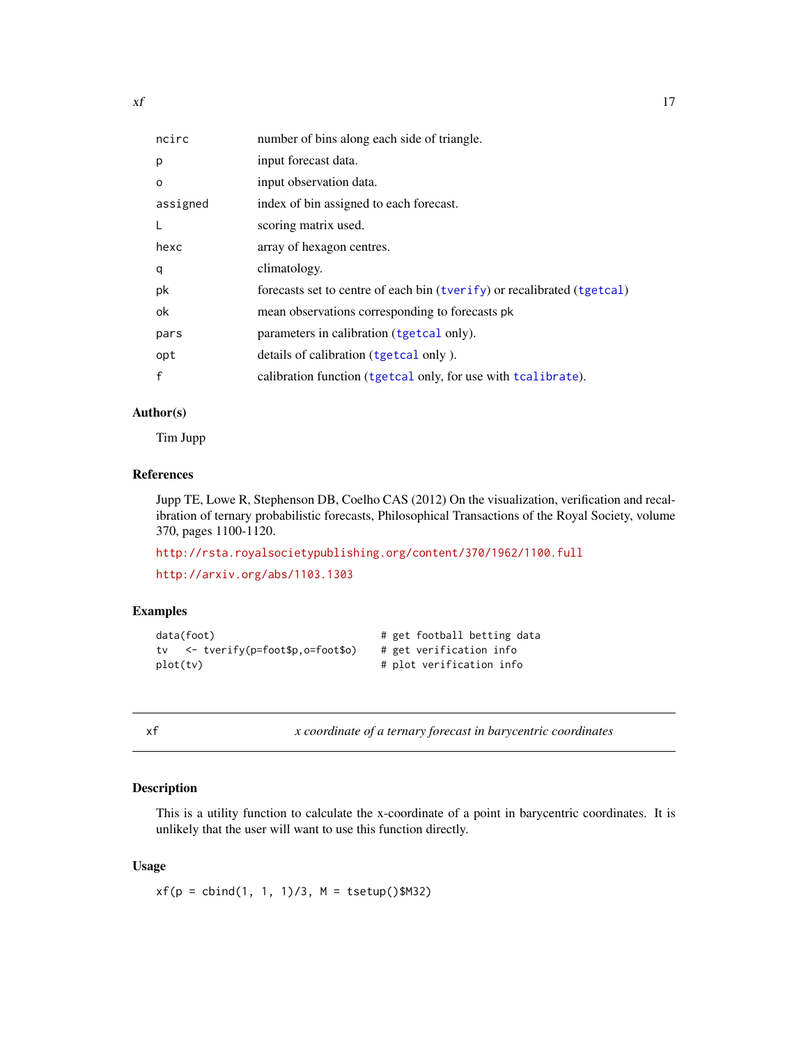<span id="page-16-0"></span>

| ncirc    | number of bins along each side of triangle.                             |
|----------|-------------------------------------------------------------------------|
| p        | input forecast data.                                                    |
| $\circ$  | input observation data.                                                 |
| assigned | index of bin assigned to each forecast.                                 |
| L        | scoring matrix used.                                                    |
| hexc     | array of hexagon centres.                                               |
| q        | climatology.                                                            |
| pk       | forecasts set to centre of each bin (tverify) or recalibrated (tgetcal) |
| ok       | mean observations corresponding to forecasts pk                         |
| pars     | parameters in calibration (tgetcal only).                               |
| opt      | details of calibration (tgetcal only).                                  |
| f        | calibration function (tgetcal only, for use with tcalibrate).           |

## Author(s)

Tim Jupp

## References

Jupp TE, Lowe R, Stephenson DB, Coelho CAS (2012) On the visualization, verification and recalibration of ternary probabilistic forecasts, Philosophical Transactions of the Royal Society, volume 370, pages 1100-1120.

```
http://rsta.royalsocietypublishing.org/content/370/1962/1100.full
```

```
http://arxiv.org/abs/1103.1303
```
#### Examples

```
data(foot) # get football betting data
tv <- tverify(p=foot$p,o=foot$o) # get verification info
plot(tv) # plot verification info
```
<span id="page-16-1"></span>

xf *x coordinate of a ternary forecast in barycentric coordinates*

#### Description

This is a utility function to calculate the x-coordinate of a point in barycentric coordinates. It is unlikely that the user will want to use this function directly.

## Usage

 $xf(p = \text{cbind}(1, 1, 1)/3, M = \text{tsetup}(\text{M32})$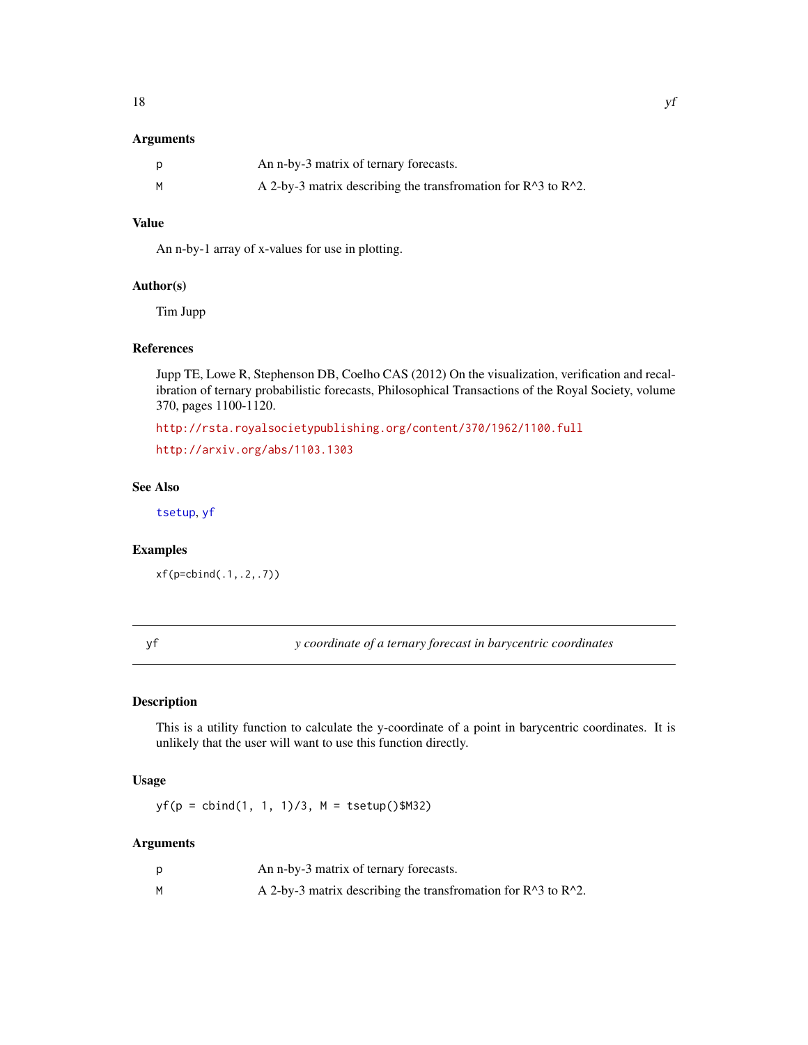## <span id="page-17-0"></span>Arguments

| p | An n-by-3 matrix of ternary forecasts.                                             |
|---|------------------------------------------------------------------------------------|
| M | A 2-by-3 matrix describing the transfromation for $R^{\wedge}3$ to $R^{\wedge}2$ . |

## Value

An n-by-1 array of x-values for use in plotting.

#### Author(s)

Tim Jupp

## References

Jupp TE, Lowe R, Stephenson DB, Coelho CAS (2012) On the visualization, verification and recalibration of ternary probabilistic forecasts, Philosophical Transactions of the Royal Society, volume 370, pages 1100-1120.

<http://rsta.royalsocietypublishing.org/content/370/1962/1100.full>

<http://arxiv.org/abs/1103.1303>

## See Also

[tsetup](#page-14-3), [yf](#page-17-1)

#### Examples

xf(p=cbind(.1,.2,.7))

<span id="page-17-1"></span>yf *y coordinate of a ternary forecast in barycentric coordinates*

#### Description

This is a utility function to calculate the y-coordinate of a point in barycentric coordinates. It is unlikely that the user will want to use this function directly.

#### Usage

 $yf(p = \text{cbind}(1, 1, 1)/3, M = \text{tsetup}(\text{)}M32)$ 

|   | An n-by-3 matrix of ternary forecasts.                                             |
|---|------------------------------------------------------------------------------------|
| м | A 2-by-3 matrix describing the transfromation for $R^{\wedge}3$ to $R^{\wedge}2$ . |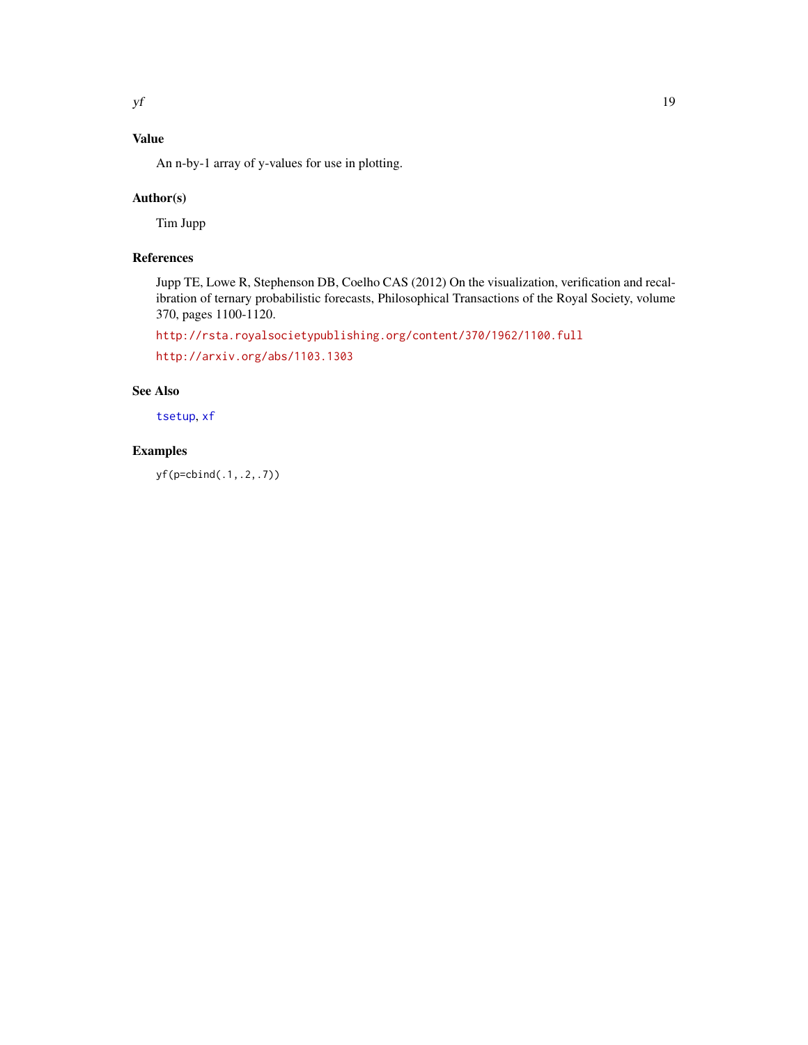## <span id="page-18-0"></span>Value

An n-by-1 array of y-values for use in plotting.

## Author(s)

Tim Jupp

## References

Jupp TE, Lowe R, Stephenson DB, Coelho CAS (2012) On the visualization, verification and recalibration of ternary probabilistic forecasts, Philosophical Transactions of the Royal Society, volume 370, pages 1100-1120.

<http://rsta.royalsocietypublishing.org/content/370/1962/1100.full>

<http://arxiv.org/abs/1103.1303>

## See Also

[tsetup](#page-14-3), [xf](#page-16-1)

## Examples

yf(p=cbind(.1,.2,.7))